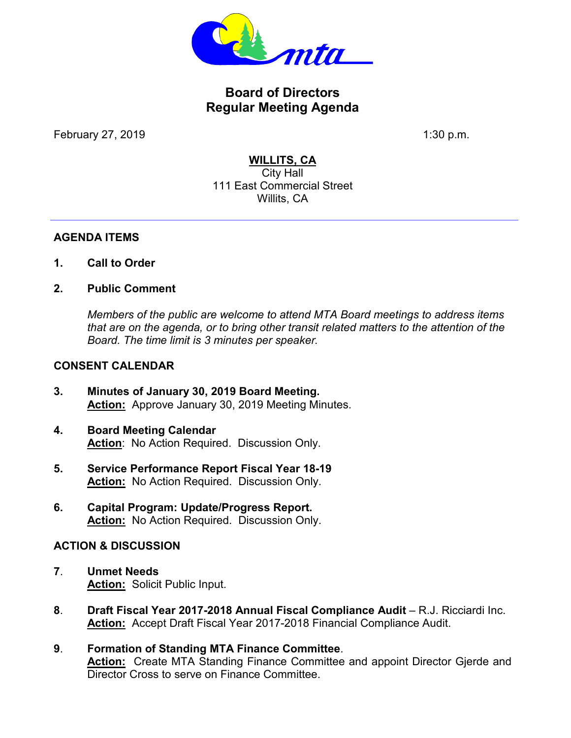

# **Board of Directors Regular Meeting Agenda**

February 27, 2019 1:30 p.m.

### **WILLITS, CA**

City Hall 111 East Commercial Street Willits, CA

#### **AGENDA ITEMS**

- **1. Call to Order**
- **2. Public Comment**

*Members of the public are welcome to attend MTA Board meetings to address items that are on the agenda, or to bring other transit related matters to the attention of the Board. The time limit is 3 minutes per speaker.* 

#### **CONSENT CALENDAR**

- **3. Minutes of January 30, 2019 Board Meeting. Action:** Approve January 30, 2019 Meeting Minutes.
- **4. Board Meeting Calendar Action**: No Action Required. Discussion Only.
- **5. Service Performance Report Fiscal Year 18-19 Action:** No Action Required. Discussion Only.
- **6. Capital Program: Update/Progress Report. Action:** No Action Required. Discussion Only.

### **ACTION & DISCUSSION**

- **7**. **Unmet Needs Action:** Solicit Public Input.
- **8**. **Draft Fiscal Year 2017-2018 Annual Fiscal Compliance Audit** R.J. Ricciardi Inc. **Action:** Accept Draft Fiscal Year 2017-2018 Financial Compliance Audit.
- **9**. **Formation of Standing MTA Finance Committee**. **Action:** Create MTA Standing Finance Committee and appoint Director Gjerde and Director Cross to serve on Finance Committee.